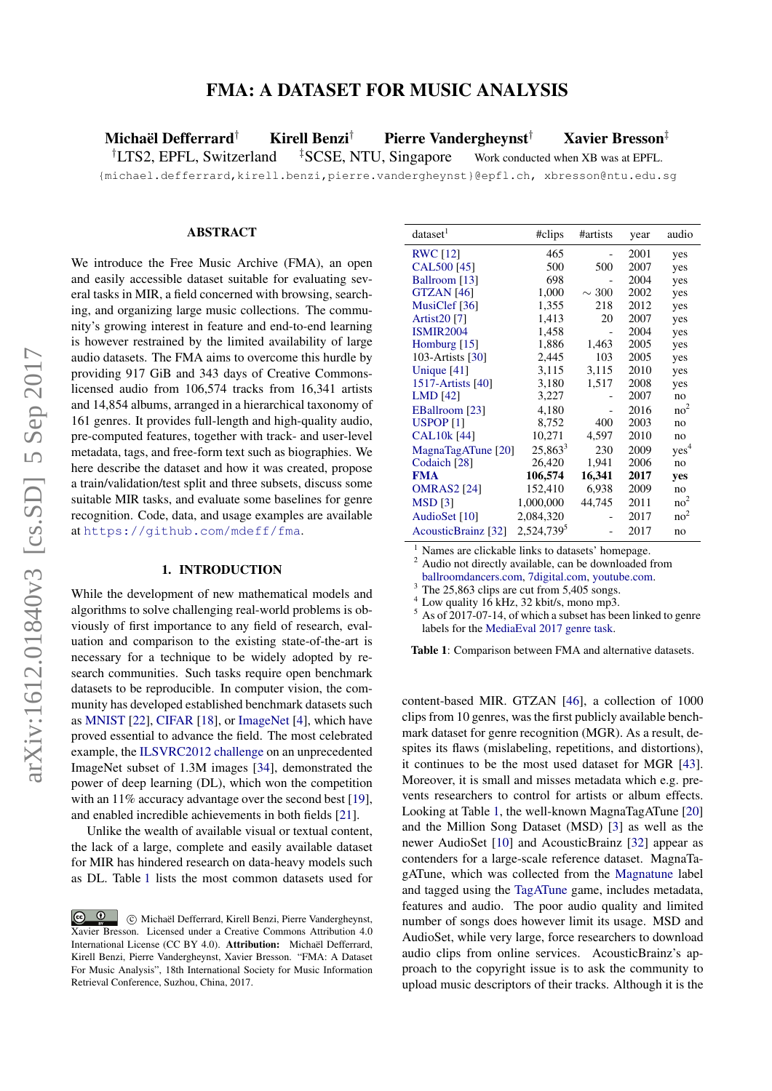# FMA: A DATASET FOR MUSIC ANALYSIS

<span id="page-0-1"></span>Michaël Defferrard† Kirell Benzi† Pierre Vandergheynst† Xavier Bresson‡

†LTS2, EPFL, Switzerland ‡SCSE, NTU, Singapore Work conducted when XB was at EPFL.

{michael.defferrard,kirell.benzi,pierre.vandergheynst}@epfl.ch, xbresson@ntu.edu.sg

# ABSTRACT

We introduce the Free Music Archive (FMA), an open and easily accessible dataset suitable for evaluating several tasks in MIR, a field concerned with browsing, searching, and organizing large music collections. The community's growing interest in feature and end-to-end learning is however restrained by the limited availability of large audio datasets. The FMA aims to overcome this hurdle by providing 917 GiB and 343 days of Creative Commonslicensed audio from 106,574 tracks from 16,341 artists and 14,854 albums, arranged in a hierarchical taxonomy of 161 genres. It provides full-length and high-quality audio, pre-computed features, together with track- and user-level metadata, tags, and free-form text such as biographies. We here describe the dataset and how it was created, propose a train/validation/test split and three subsets, discuss some suitable MIR tasks, and evaluate some baselines for genre recognition. Code, data, and usage examples are available at <https://github.com/mdeff/fma>.

#### 1. INTRODUCTION

While the development of new mathematical models and algorithms to solve challenging real-world problems is obviously of first importance to any field of research, evaluation and comparison to the existing state-of-the-art is necessary for a technique to be widely adopted by research communities. Such tasks require open benchmark datasets to be reproducible. In computer vision, the community has developed established benchmark datasets such as [MNIST](http://yann.lecun.com/exdb/mnist/) [\[22\]](#page-6-0), [CIFAR](https://www.cs.toronto.edu/~kriz/cifar.html) [\[18\]](#page-6-1), or [ImageNet](http://www.image-net.org) [\[4\]](#page-6-2), which have proved essential to advance the field. The most celebrated example, the [ILSVRC2012 challenge](http://www.image-net.org/challenges/LSVRC/2012/) on an unprecedented ImageNet subset of 1.3M images [\[34\]](#page-7-0), demonstrated the power of deep learning (DL), which won the competition with an 11% accuracy advantage over the second best [\[19\]](#page-6-3), and enabled incredible achievements in both fields [\[21\]](#page-6-4).

Unlike the wealth of available visual or textual content, the lack of a large, complete and easily available dataset for MIR has hindered research on data-heavy models such as DL. Table [1](#page-0-0) lists the most common datasets used for

<span id="page-0-0"></span>

| dataset <sup>1</sup>    | #clips                 | #artists   | year | audio           |
|-------------------------|------------------------|------------|------|-----------------|
| <b>RWC</b> [12]         | 465                    |            | 2001 | yes             |
| CAL500 [45]             | 500                    | 500        | 2007 | yes             |
| Ballroom [13]           | 698                    |            | 2004 | yes             |
| <b>GTZAN</b> [46]       | 1,000                  | $\sim 300$ | 2002 | yes             |
| MusiClef [36]           | 1,355                  | 218        | 2012 | yes             |
| Artist20 <sup>[7]</sup> | 1,413                  | 20         | 2007 | yes             |
| <b>ISMIR2004</b>        | 1,458                  |            | 2004 | yes             |
| Homburg $[15]$          | 1,886                  | 1,463      | 2005 | yes             |
| 103-Artists [30]        | 2,445                  | 103        | 2005 | yes             |
| Unique [41]             | 3,115                  | 3,115      | 2010 | yes             |
| 1517-Artists [40]       | 3,180                  | 1,517      | 2008 | yes             |
| $LMD$ [42]              | 3,227                  |            | 2007 | no              |
| EBallroom [23]          | 4,180                  |            | 2016 | no <sup>2</sup> |
| <b>USPOP [1]</b>        | 8,752                  | 400        | 2003 | no              |
| <b>CAL10k [44]</b>      | 10,271                 | 4,597      | 2010 | no              |
| MagnaTagATune [20]      | $25,863^3$             | 230        | 2009 | $yes^4$         |
| Codaich [28]            | 26,420                 | 1,941      | 2006 | no              |
| <b>FMA</b>              | 106,574                | 16,341     | 2017 | yes             |
| <b>OMRAS2</b> [24]      | 152,410                | 6,938      | 2009 | no              |
| <b>MSD</b> [3]          | 1,000,000              | 44,745     | 2011 | no <sup>2</sup> |
| AudioSet [10]           | 2,084,320              |            | 2017 | no <sup>2</sup> |
| AcousticBrainz [32]     | 2,524,739 <sup>5</sup> |            | 2017 | no              |

Names are clickable links to datasets' homepage.

<sup>2</sup> Audio not directly available, can be downloaded from

[ballroomdancers.com,](http://www.ballroomdancers.com) [7digital.com,](https://www.7digital.com) [youtube.com.](https://www.youtube.com)

<sup>3</sup> The 25,863 clips are cut from 5,405 songs.

 $4$  Low quality 16 kHz, 32 kbit/s, mono mp3.

 $5$  As of  $2017-07-14$ , of which a subset has been linked to genre labels for the [MediaEval 2017](http://www.multimediaeval.org/mediaeval2017) [genre task.](https://multimediaeval.github.io/2017-AcousticBrainz-Genre-Task)

Table 1: Comparison between FMA and alternative datasets.

content-based MIR. GTZAN [\[46\]](#page-7-2), a collection of 1000 clips from 10 genres, was the first publicly available benchmark dataset for genre recognition (MGR). As a result, despites its flaws (mislabeling, repetitions, and distortions), it continues to be the most used dataset for MGR [\[43\]](#page-7-8). Moreover, it is small and misses metadata which e.g. prevents researchers to control for artists or album effects. Looking at Table [1,](#page-0-0) the well-known MagnaTagATune [\[20\]](#page-6-12) and the Million Song Dataset (MSD) [\[3\]](#page-6-15) as well as the newer AudioSet [\[10\]](#page-6-16) and AcousticBrainz [\[32\]](#page-6-17) appear as contenders for a large-scale reference dataset. MagnaTagATune, which was collected from the [Magnatune](https://magnatune.com/) label and tagged using the [TagATune](http://tagatune.org/) game, includes metadata, features and audio. The poor audio quality and limited number of songs does however limit its usage. MSD and AudioSet, while very large, force researchers to download audio clips from online services. AcousticBrainz's approach to the copyright issue is to ask the community to upload music descriptors of their tracks. Although it is the

<sup>&</sup>lt;u>ල</u> c Michaël Defferrard, Kirell Benzi, Pierre Vandergheynst, Xavier Bresson. Licensed under a Creative Commons Attribution 4.0 International License (CC BY 4.0). Attribution: Michaël Defferrard, Kirell Benzi, Pierre Vandergheynst, Xavier Bresson. "FMA: A Dataset For Music Analysis", 18th International Society for Music Information Retrieval Conference, Suzhou, China, 2017.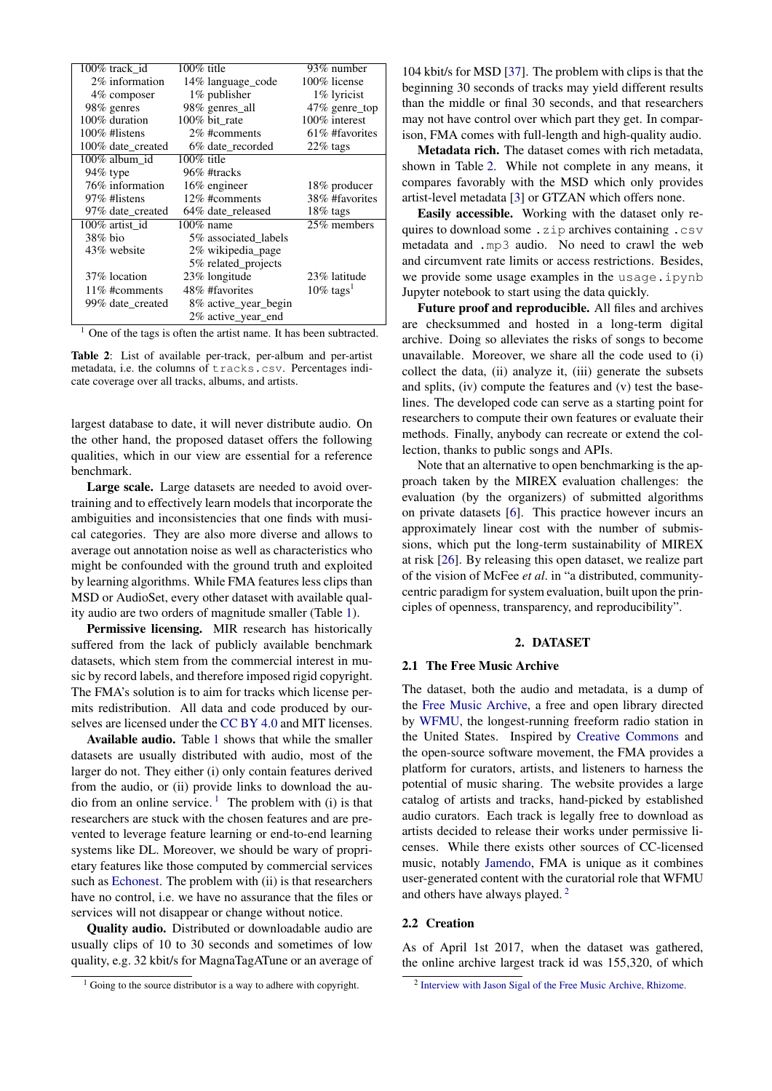<span id="page-1-1"></span>

| 100% track id     | $100\%$ title        | 93% number               |
|-------------------|----------------------|--------------------------|
| 2% information    | 14% language code    | 100% license             |
| 4\% composer      | $1\%$ publisher      | 1% lyricist              |
| 98% genres        | 98% genres_all       | 47% genre_top            |
| 100% duration     | 100% bit_rate        | 100% interest            |
| 100% #listens     | 2\% #comments        | 61% #favorites           |
| 100% date_created | 6% date recorded     | $22\%$ tags              |
| 100% album id     | $100\%$ title        |                          |
| $94\%$ type       | 96% #tracks          |                          |
| 76% information   | $16\%$ engineer      | 18% producer             |
| 97% #listens      | 12\% #comments       | 38% #favorites           |
| 97% date_created  | 64% date released    | $18\%$ tags              |
| 100% artist id    | $100\%$ name         | 25% members              |
| $38\%$ bio        | 5% associated labels |                          |
| 43% website       | 2% wikipedia page    |                          |
|                   | 5% related projects  |                          |
| 37\% location     | 23% longitude        | 23% latitude             |
| 11\% #comments    | 48% #favorites       | $10\%$ tags <sup>1</sup> |
| 99% date_created  | 8% active year begin |                          |
|                   | 2% active_year_end   |                          |

 $<sup>1</sup>$  One of the tags is often the artist name. It has been subtracted.</sup>

Table 2: List of available per-track, per-album and per-artist metadata, i.e. the columns of tracks.csv. Percentages indicate coverage over all tracks, albums, and artists.

largest database to date, it will never distribute audio. On the other hand, the proposed dataset offers the following qualities, which in our view are essential for a reference benchmark.

Large scale. Large datasets are needed to avoid overtraining and to effectively learn models that incorporate the ambiguities and inconsistencies that one finds with musical categories. They are also more diverse and allows to average out annotation noise as well as characteristics who might be confounded with the ground truth and exploited by learning algorithms. While FMA features less clips than MSD or AudioSet, every other dataset with available quality audio are two orders of magnitude smaller (Table [1\)](#page-0-0).

Permissive licensing. MIR research has historically suffered from the lack of publicly available benchmark datasets, which stem from the commercial interest in music by record labels, and therefore imposed rigid copyright. The FMA's solution is to aim for tracks which license permits redistribution. All data and code produced by ourselves are licensed under the [CC BY 4.0](https://creativecommons.org/licenses/by/4.0)) and MIT licenses.

Available audio. Table [1](#page-0-0) shows that while the smaller datasets are usually distributed with audio, most of the larger do not. They either (i) only contain features derived from the audio, or (ii) provide links to download the au-dio from an online service.<sup>[1](#page-1-0)</sup> The problem with (i) is that researchers are stuck with the chosen features and are prevented to leverage feature learning or end-to-end learning systems like DL. Moreover, we should be wary of proprietary features like those computed by commercial services such as [Echonest.](http://the.echonest.com/) The problem with (ii) is that researchers have no control, i.e. we have no assurance that the files or services will not disappear or change without notice.

Quality audio. Distributed or downloadable audio are usually clips of 10 to 30 seconds and sometimes of low quality, e.g. 32 kbit/s for MagnaTagATune or an average of 104 kbit/s for MSD [\[37\]](#page-7-9). The problem with clips is that the beginning 30 seconds of tracks may yield different results than the middle or final 30 seconds, and that researchers may not have control over which part they get. In comparison, FMA comes with full-length and high-quality audio.

Metadata rich. The dataset comes with rich metadata, shown in Table [2.](#page-1-1) While not complete in any means, it compares favorably with the MSD which only provides artist-level metadata [\[3\]](#page-6-15) or GTZAN which offers none.

Easily accessible. Working with the dataset only requires to download some .zip archives containing .csv metadata and .mp3 audio. No need to crawl the web and circumvent rate limits or access restrictions. Besides, we provide some usage examples in the usage.ipynb Jupyter notebook to start using the data quickly.

Future proof and reproducible. All files and archives are checksummed and hosted in a long-term digital archive. Doing so alleviates the risks of songs to become unavailable. Moreover, we share all the code used to (i) collect the data, (ii) analyze it, (iii) generate the subsets and splits, (iv) compute the features and (v) test the baselines. The developed code can serve as a starting point for researchers to compute their own features or evaluate their methods. Finally, anybody can recreate or extend the collection, thanks to public songs and APIs.

Note that an alternative to open benchmarking is the approach taken by the MIREX evaluation challenges: the evaluation (by the organizers) of submitted algorithms on private datasets [\[6\]](#page-6-18). This practice however incurs an approximately linear cost with the number of submissions, which put the long-term sustainability of MIREX at risk [\[26\]](#page-6-19). By releasing this open dataset, we realize part of the vision of McFee *et al*. in "a distributed, communitycentric paradigm for system evaluation, built upon the principles of openness, transparency, and reproducibility".

### 2. DATASET

### 2.1 The Free Music Archive

The dataset, both the audio and metadata, is a dump of the [Free Music Archive,](https://freemusicarchive.org/) a free and open library directed by [WFMU,](https://wfmu.org/) the longest-running freeform radio station in the United States. Inspired by [Creative Commons](https://creativecommons.org/) and the open-source software movement, the FMA provides a platform for curators, artists, and listeners to harness the potential of music sharing. The website provides a large catalog of artists and tracks, hand-picked by established audio curators. Each track is legally free to download as artists decided to release their works under permissive licenses. While there exists other sources of CC-licensed music, notably [Jamendo,](https://www.jamendo.com) FMA is unique as it combines user-generated content with the curatorial role that WFMU and others have always played. [2](#page-1-2)

#### 2.2 Creation

As of April 1st 2017, when the dataset was gathered, the online archive largest track id was 155,320, of which

<span id="page-1-0"></span> $1$  Going to the source distributor is a way to adhere with copyright.

<span id="page-1-2"></span><sup>&</sup>lt;sup>2</sup> [Interview with Jason Sigal of the Free Music Archive, Rhizome.](http://rhizome.org/editorial/2009/may/1/interview-with-jason-sigal-of-the-free-music-archi)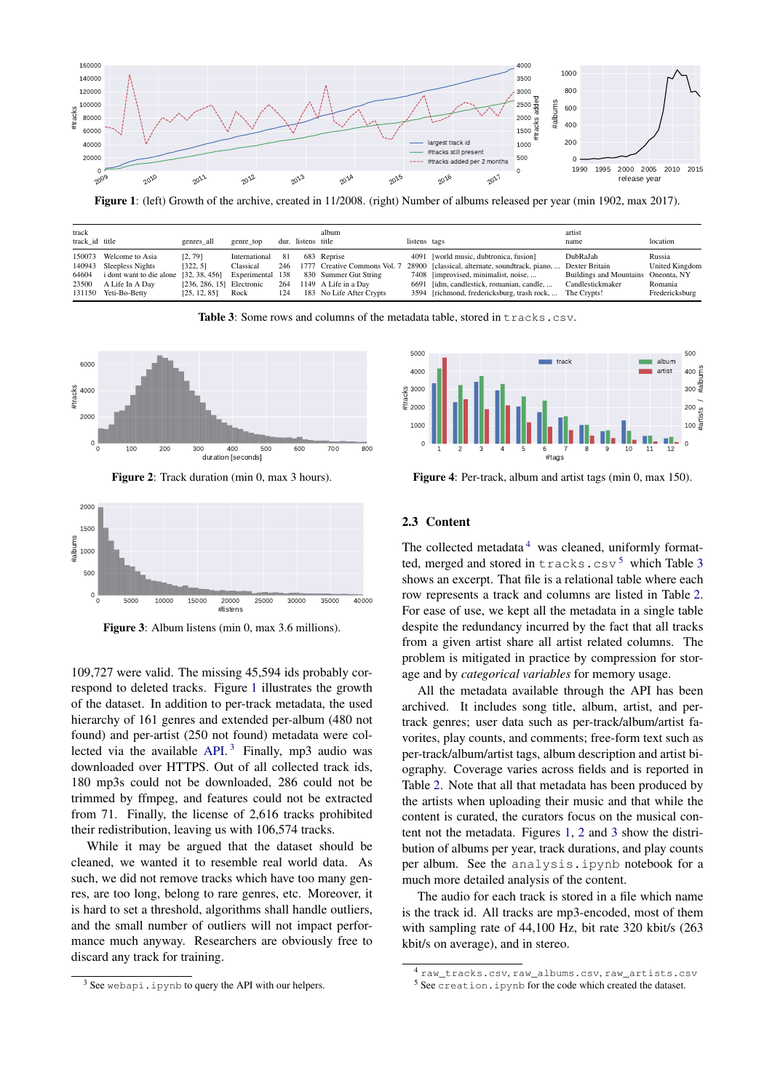<span id="page-2-0"></span>

Figure 1: (left) Growth of the archive, created in 11/2008. (right) Number of albums released per year (min 1902, max 2017).

<span id="page-2-4"></span>

| track<br>track id title |                                                                                                                                        | genres all                                                         | genre top                                              |                         | dur. listens title | album                                                                                                                    | listens tags |                                                                                                                                                                                                                               | artist<br>name                                                                                       | location                                                     |
|-------------------------|----------------------------------------------------------------------------------------------------------------------------------------|--------------------------------------------------------------------|--------------------------------------------------------|-------------------------|--------------------|--------------------------------------------------------------------------------------------------------------------------|--------------|-------------------------------------------------------------------------------------------------------------------------------------------------------------------------------------------------------------------------------|------------------------------------------------------------------------------------------------------|--------------------------------------------------------------|
| 64604<br>23500          | 150073 Welcome to Asia<br>140943 Sleepless Nights<br>i dont want to die alone [32, 38, 456]<br>A Life In A Day<br>131150 Yeti-Bo-Betty | [2, 79]<br>[322, 5]<br>$[236, 286, 15]$ Electronic<br>[25, 12, 85] | International<br>Classical<br>Experimental 138<br>Rock | 81<br>246<br>264<br>124 |                    | 683 Reprise<br>1777 Creative Commons Vol. 7<br>830 Summer Gut String<br>1149 A Life in a Day<br>183 No Life After Crypts |              | 4091 [world music, dubtronica, fusion]<br>28900 [classical, alternate, soundtrack, piano,<br>7408 [improvised, minimalist, noise,<br>6691 [idm, candlestick, romanian, candle,<br>3594 [richmond, fredericksburg, trash rock, | DubRaJah<br>Dexter Britain<br>Buildings and Mountains Oneonta, NY<br>Candlestickmaker<br>The Crypts! | Russia<br><b>United Kingdom</b><br>Romania<br>Fredericksburg |

Table 3: Some rows and columns of the metadata table, stored in tracks.csv.

<span id="page-2-5"></span>

Figure 2: Track duration (min 0, max 3 hours).

<span id="page-2-6"></span>

Figure 3: Album listens (min 0, max 3.6 millions).

109,727 were valid. The missing 45,594 ids probably correspond to deleted tracks. Figure [1](#page-2-0) illustrates the growth of the dataset. In addition to per-track metadata, the used hierarchy of 161 genres and extended per-album (480 not found) and per-artist (250 not found) metadata were col-lected via the available [API.](https://freemusicarchive.org/api)<sup>[3](#page-2-1)</sup> Finally, mp3 audio was downloaded over HTTPS. Out of all collected track ids, 180 mp3s could not be downloaded, 286 could not be trimmed by ffmpeg, and features could not be extracted from 71. Finally, the license of 2,616 tracks prohibited their redistribution, leaving us with 106,574 tracks.

While it may be argued that the dataset should be cleaned, we wanted it to resemble real world data. As such, we did not remove tracks which have too many genres, are too long, belong to rare genres, etc. Moreover, it is hard to set a threshold, algorithms shall handle outliers, and the small number of outliers will not impact performance much anyway. Researchers are obviously free to discard any track for training.



Figure 4: Per-track, album and artist tags (min 0, max 150).

# 2.3 Content

The collected metadata<sup>[4](#page-2-2)</sup> was cleaned, uniformly formatted, merged and stored in  $\text{tracks}$ ,  $\text{csv}^5$  $\text{csv}^5$  which Table [3](#page-2-4) shows an excerpt. That file is a relational table where each row represents a track and columns are listed in Table [2.](#page-1-1) For ease of use, we kept all the metadata in a single table despite the redundancy incurred by the fact that all tracks from a given artist share all artist related columns. The problem is mitigated in practice by compression for storage and by *categorical variables* for memory usage.

All the metadata available through the API has been archived. It includes song title, album, artist, and pertrack genres; user data such as per-track/album/artist favorites, play counts, and comments; free-form text such as per-track/album/artist tags, album description and artist biography. Coverage varies across fields and is reported in Table [2.](#page-1-1) Note that all that metadata has been produced by the artists when uploading their music and that while the content is curated, the curators focus on the musical content not the metadata. Figures [1,](#page-2-0) [2](#page-2-5) and [3](#page-2-6) show the distribution of albums per year, track durations, and play counts per album. See the analysis.ipynb notebook for a much more detailed analysis of the content.

The audio for each track is stored in a file which name is the track id. All tracks are mp3-encoded, most of them with sampling rate of 44,100 Hz, bit rate 320 kbit/s (263 kbit/s on average), and in stereo.

<span id="page-2-1"></span><sup>&</sup>lt;sup>3</sup> See webapi.ipynb to query the API with our helpers.

<span id="page-2-2"></span><sup>4</sup> raw\_tracks.csv, raw\_albums.csv, raw\_artists.csv

<span id="page-2-3"></span><sup>5</sup> See creation.ipynb for the code which created the dataset.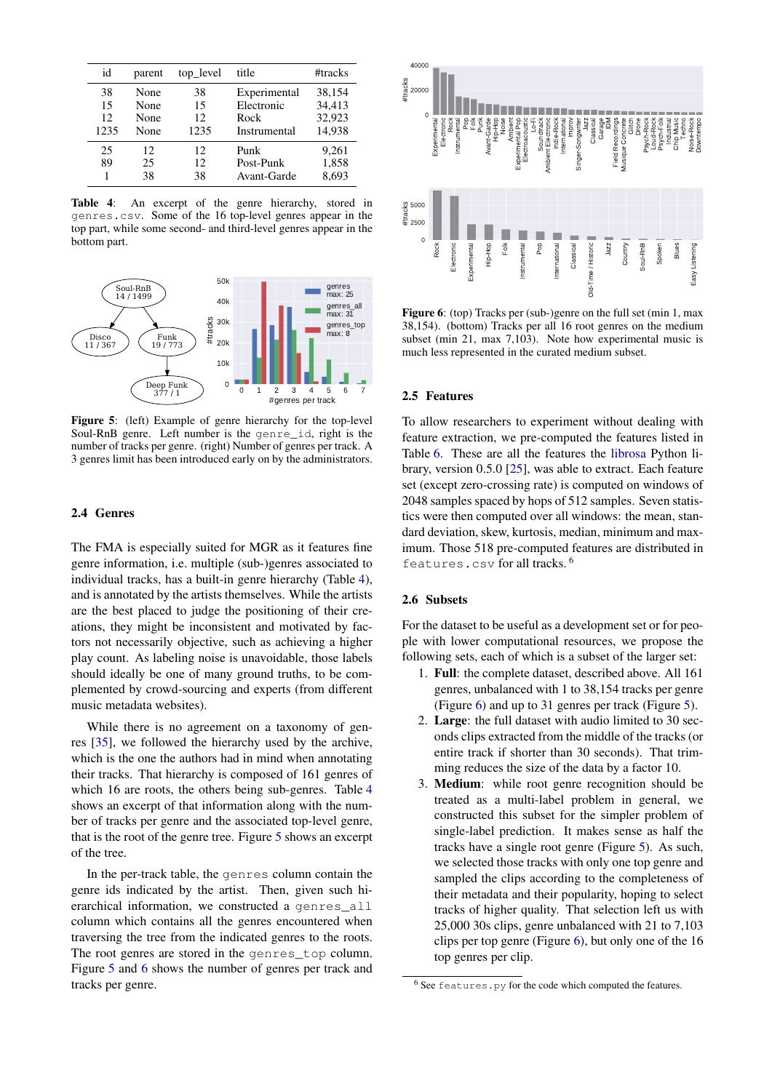<span id="page-3-0"></span>

| id                     | parent                       | top_level              | title                                              | #tracks                              |
|------------------------|------------------------------|------------------------|----------------------------------------------------|--------------------------------------|
| 38<br>15<br>12<br>1235 | None<br>None<br>None<br>None | 38<br>15<br>12<br>1235 | Experimental<br>Electronic<br>Rock<br>Instrumental | 38,154<br>34,413<br>32,923<br>14,938 |
| 25<br>89               | 12.<br>25<br>38              | 12<br>12<br>38         | Punk<br>Post-Punk<br>Avant-Garde                   | 9.261<br>1,858<br>8,693              |

Table 4: An excerpt of the genre hierarchy, stored in genres.csv. Some of the 16 top-level genres appear in the top part, while some second- and third-level genres appear in the bottom part.

<span id="page-3-1"></span>

Figure 5: (left) Example of genre hierarchy for the top-level Soul-RnB genre. Left number is the genre\_id, right is the number of tracks per genre. (right) Number of genres per track. A 3 genres limit has been introduced early on by the administrators.

### 2.4 Genres

The FMA is especially suited for MGR as it features fine genre information, i.e. multiple (sub-)genres associated to individual tracks, has a built-in genre hierarchy (Table [4\)](#page-3-0), and is annotated by the artists themselves. While the artists are the best placed to judge the positioning of their creations, they might be inconsistent and motivated by factors not necessarily objective, such as achieving a higher play count. As labeling noise is unavoidable, those labels should ideally be one of many ground truths, to be complemented by crowd-sourcing and experts (from different music metadata websites). 1255 Now 1225 Section 226 Section 226 Section 226 Section 226 Section 226 Section 226 Section 226 Section 226 Section 226 Section 226 Section 226 Section 226 Section 226 Section 226 Section 226 Section 226 Section 226 Sec

While there is no agreement on a taxonomy of genres [\[35\]](#page-7-10), we followed the hierarchy used by the archive, which is the one the authors had in mind when annotating their tracks. That hierarchy is composed of 161 genres of which 16 are roots, the others being sub-genres. Table [4](#page-3-0) shows an excerpt of that information along with the number of tracks per genre and the associated top-level genre, that is the root of the genre tree. Figure [5](#page-3-1) shows an excerpt of the tree.

In the per-track table, the genres column contain the genre ids indicated by the artist. Then, given such hierarchical information, we constructed a genres\_all column which contains all the genres encountered when traversing the tree from the indicated genres to the roots. The root genres are stored in the genres top column. Figure [5](#page-3-1) and [6](#page-3-2) shows the number of genres per track and

<span id="page-3-2"></span>

Figure 6: (top) Tracks per (sub-)genre on the full set (min 1, max 38,154). (bottom) Tracks per all 16 root genres on the medium subset (min 21, max 7,103). Note how experimental music is much less represented in the curated medium subset.

### 2.5 Features

To allow researchers to experiment without dealing with feature extraction, we pre-computed the features listed in Table [6.](#page-4-0) These are all the features the [librosa](https://github.com/librosa/librosa) Python library, version 0.5.0 [\[25\]](#page-6-20), was able to extract. Each feature set (except zero-crossing rate) is computed on windows of 2048 samples spaced by hops of 512 samples. Seven statistics were then computed over all windows: the mean, standard deviation, skew, kurtosis, median, minimum and maximum. Those 518 pre-computed features are distributed in features.csv for all tracks. [6](#page-3-3)

### 2.6 Subsets

For the dataset to be useful as a development set or for people with lower computational resources, we propose the following sets, each of which is a subset of the larger set:

- 1. Full: the complete dataset, described above. All 161 genres, unbalanced with 1 to 38,154 tracks per genre (Figure [6\)](#page-3-2) and up to 31 genres per track (Figure [5\)](#page-3-1).
- 2. Large: the full dataset with audio limited to 30 seconds clips extracted from the middle of the tracks (or entire track if shorter than 30 seconds). That trimming reduces the size of the data by a factor 10.
- 3. Medium: while root genre recognition should be treated as a multi-label problem in general, we constructed this subset for the simpler problem of single-label prediction. It makes sense as half the tracks have a single root genre (Figure [5\)](#page-3-1). As such, we selected those tracks with only one top genre and sampled the clips according to the completeness of their metadata and their popularity, hoping to select tracks of higher quality. That selection left us with 25,000 30s clips, genre unbalanced with 21 to 7,103 clips per top genre (Figure [6\)](#page-3-2), but only one of the 16 top genres per clip.

<span id="page-3-3"></span> $6$  See features.py for the code which computed the features.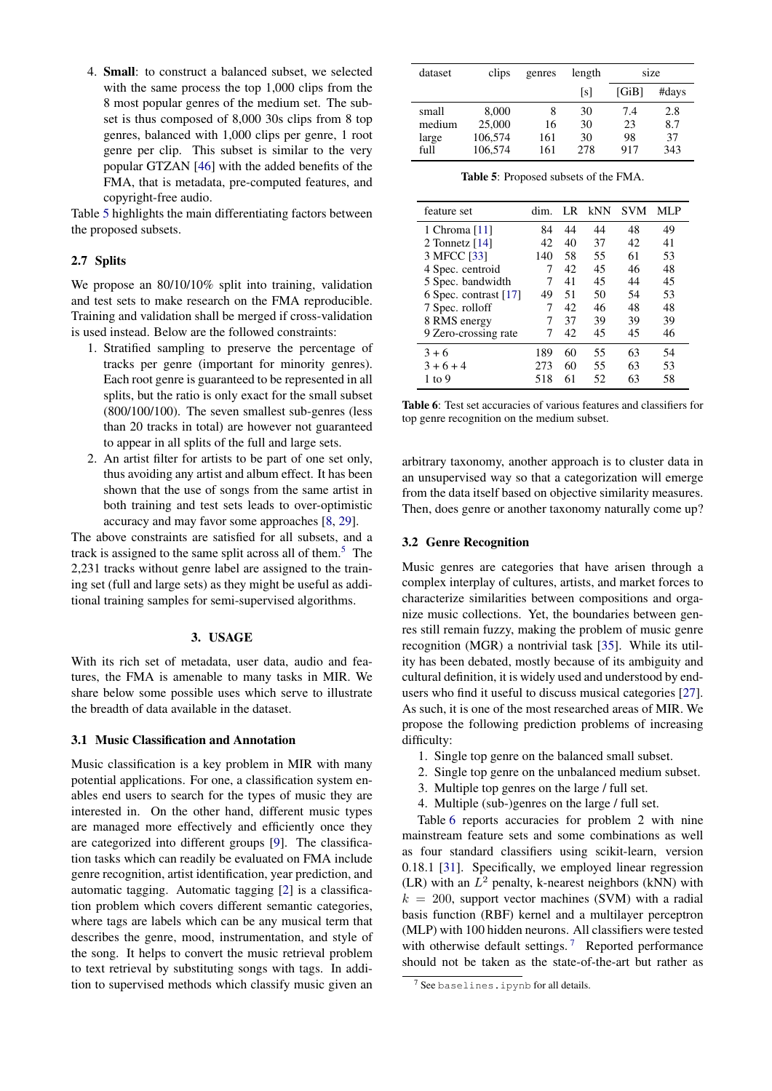4. Small: to construct a balanced subset, we selected with the same process the top 1,000 clips from the 8 most popular genres of the medium set. The subset is thus composed of 8,000 30s clips from 8 top genres, balanced with 1,000 clips per genre, 1 root genre per clip. This subset is similar to the very popular GTZAN [\[46\]](#page-7-2) with the added benefits of the FMA, that is metadata, pre-computed features, and copyright-free audio.

Table [5](#page-4-1) highlights the main differentiating factors between the proposed subsets.

## 2.7 Splits

We propose an 80/10/10% split into training, validation and test sets to make research on the FMA reproducible. Training and validation shall be merged if cross-validation is used instead. Below are the followed constraints:

- 1. Stratified sampling to preserve the percentage of tracks per genre (important for minority genres). Each root genre is guaranteed to be represented in all splits, but the ratio is only exact for the small subset (800/100/100). The seven smallest sub-genres (less than 20 tracks in total) are however not guaranteed to appear in all splits of the full and large sets.
- 2. An artist filter for artists to be part of one set only, thus avoiding any artist and album effect. It has been shown that the use of songs from the same artist in both training and test sets leads to over-optimistic accuracy and may favor some approaches [\[8,](#page-6-21) [29\]](#page-6-22).

The above constraints are satisfied for all subsets, and a track is assigned to the same split across all of them.<sup>[5](#page-0-1)</sup> The 2,231 tracks without genre label are assigned to the training set (full and large sets) as they might be useful as additional training samples for semi-supervised algorithms.

# 3. USAGE

With its rich set of metadata, user data, audio and features, the FMA is amenable to many tasks in MIR. We share below some possible uses which serve to illustrate the breadth of data available in the dataset.

# 3.1 Music Classification and Annotation

Music classification is a key problem in MIR with many potential applications. For one, a classification system enables end users to search for the types of music they are interested in. On the other hand, different music types are managed more effectively and efficiently once they are categorized into different groups [\[9\]](#page-6-23). The classification tasks which can readily be evaluated on FMA include genre recognition, artist identification, year prediction, and automatic tagging. Automatic tagging [\[2\]](#page-6-24) is a classification problem which covers different semantic categories, where tags are labels which can be any musical term that describes the genre, mood, instrumentation, and style of the song. It helps to convert the music retrieval problem to text retrieval by substituting songs with tags. In addition to supervised methods which classify music given an

<span id="page-4-1"></span>

| dataset | clips   | genres | length | size  |       |
|---------|---------|--------|--------|-------|-------|
|         |         |        | ls l   | [GiB] | #days |
| small   | 8,000   | 8      | 30     | 7.4   | 2.8   |
| medium  | 25,000  | 16     | 30     | 23    | 8.7   |
| large   | 106,574 | 161    | 30     | 98    | 37    |
| full    | 106,574 | 161    | 278    | 917   | 343   |

Table 5: Proposed subsets of the FMA.

<span id="page-4-0"></span>

| feature set           | dim. | LR | kNN | <b>SVM</b> | MLP |
|-----------------------|------|----|-----|------------|-----|
| 1 Chroma [11]         | 84   | 44 | 44  | 48         | 49  |
| 2 Tonnetz $[14]$      | 42   | 40 | 37  | 42         | 41  |
| 3 MFCC [33]           | 140  | 58 | 55  | 61         | 53  |
| 4 Spec. centroid      | 7    | 42 | 45  | 46         | 48  |
| 5 Spec. bandwidth     | 7    | 41 | 45  | 44         | 45  |
| 6 Spec. contrast [17] | 49   | 51 | 50  | 54         | 53  |
| 7 Spec. rolloff       | 7    | 42 | 46  | 48         | 48  |
| 8 RMS energy          | 7    | 37 | 39  | 39         | 39  |
| 9 Zero-crossing rate  | 7    | 42 | 45  | 45         | 46  |
| $3 + 6$               | 189  | 60 | 55  | 63         | 54  |
| $3 + 6 + 4$           | 273  | 60 | 55  | 63         | 53  |
| 1 to 9                | 518  | 61 | 52. | 63         | 58  |

Table 6: Test set accuracies of various features and classifiers for top genre recognition on the medium subset.

arbitrary taxonomy, another approach is to cluster data in an unsupervised way so that a categorization will emerge from the data itself based on objective similarity measures. Then, does genre or another taxonomy naturally come up?

#### 3.2 Genre Recognition

Music genres are categories that have arisen through a complex interplay of cultures, artists, and market forces to characterize similarities between compositions and organize music collections. Yet, the boundaries between genres still remain fuzzy, making the problem of music genre recognition (MGR) a nontrivial task [\[35\]](#page-7-10). While its utility has been debated, mostly because of its ambiguity and cultural definition, it is widely used and understood by endusers who find it useful to discuss musical categories [\[27\]](#page-6-28). As such, it is one of the most researched areas of MIR. We propose the following prediction problems of increasing difficulty:

- 1. Single top genre on the balanced small subset.
- 2. Single top genre on the unbalanced medium subset.
- 3. Multiple top genres on the large / full set.
- 4. Multiple (sub-)genres on the large / full set.

Table [6](#page-4-0) reports accuracies for problem 2 with nine mainstream feature sets and some combinations as well as four standard classifiers using scikit-learn, version 0.18.1 [\[31\]](#page-6-29). Specifically, we employed linear regression (LR) with an  $L^2$  penalty, k-nearest neighbors (kNN) with  $k = 200$ , support vector machines (SVM) with a radial basis function (RBF) kernel and a multilayer perceptron (MLP) with 100 hidden neurons. All classifiers were tested with otherwise default settings.<sup>[7](#page-4-2)</sup> Reported performance should not be taken as the state-of-the-art but rather as

<span id="page-4-2"></span> $7$  See baselines.ipynb for all details.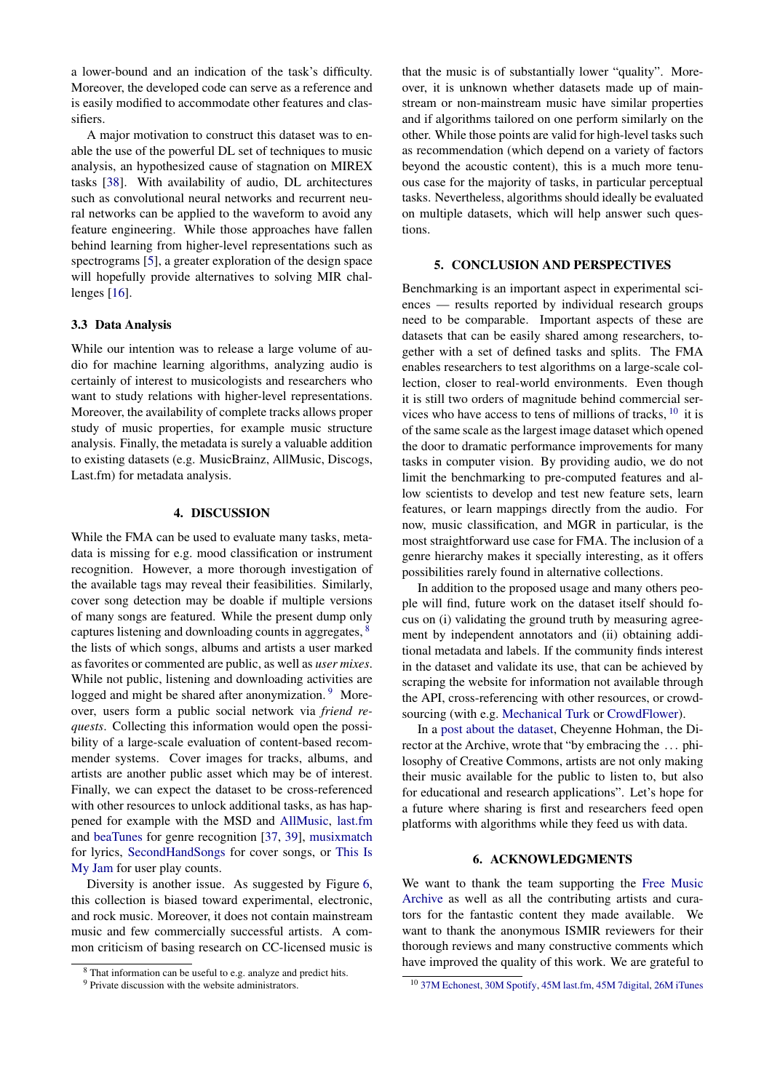a lower-bound and an indication of the task's difficulty. Moreover, the developed code can serve as a reference and is easily modified to accommodate other features and classifiers.

A major motivation to construct this dataset was to enable the use of the powerful DL set of techniques to music analysis, an hypothesized cause of stagnation on MIREX tasks [\[38\]](#page-7-12). With availability of audio, DL architectures such as convolutional neural networks and recurrent neural networks can be applied to the waveform to avoid any feature engineering. While those approaches have fallen behind learning from higher-level representations such as spectrograms [\[5\]](#page-6-30), a greater exploration of the design space will hopefully provide alternatives to solving MIR challenges [\[16\]](#page-6-31).

## 3.3 Data Analysis

While our intention was to release a large volume of audio for machine learning algorithms, analyzing audio is certainly of interest to musicologists and researchers who want to study relations with higher-level representations. Moreover, the availability of complete tracks allows proper study of music properties, for example music structure analysis. Finally, the metadata is surely a valuable addition to existing datasets (e.g. MusicBrainz, AllMusic, Discogs, Last.fm) for metadata analysis.

# 4. DISCUSSION

While the FMA can be used to evaluate many tasks, metadata is missing for e.g. mood classification or instrument recognition. However, a more thorough investigation of the available tags may reveal their feasibilities. Similarly, cover song detection may be doable if multiple versions of many songs are featured. While the present dump only captures listening and downloading counts in aggregates, [8](#page-5-0) the lists of which songs, albums and artists a user marked as favorites or commented are public, as well as *user mixes*. While not public, listening and downloading activities are logged and might be shared after anonymization.<sup>[9](#page-5-1)</sup> Moreover, users form a public social network via *friend requests*. Collecting this information would open the possibility of a large-scale evaluation of content-based recommender systems. Cover images for tracks, albums, and artists are another public asset which may be of interest. Finally, we can expect the dataset to be cross-referenced with other resources to unlock additional tasks, as has happened for example with the MSD and [AllMusic,](http://www.allmusic.com) [last.fm](https://www.last.fm) and [beaTunes](https://beatunes.com) for genre recognition [\[37,](#page-7-9) [39\]](#page-7-13), [musixmatch](https://musixmatch.com) for lyrics, [SecondHandSongs](https://secondhandsongs.com) for cover songs, or [This Is](https://www.thisismyjam.com) [My Jam](https://www.thisismyjam.com) for user play counts.

Diversity is another issue. As suggested by Figure [6,](#page-3-2) this collection is biased toward experimental, electronic, and rock music. Moreover, it does not contain mainstream music and few commercially successful artists. A common criticism of basing research on CC-licensed music is that the music is of substantially lower "quality". Moreover, it is unknown whether datasets made up of mainstream or non-mainstream music have similar properties and if algorithms tailored on one perform similarly on the other. While those points are valid for high-level tasks such as recommendation (which depend on a variety of factors beyond the acoustic content), this is a much more tenuous case for the majority of tasks, in particular perceptual tasks. Nevertheless, algorithms should ideally be evaluated on multiple datasets, which will help answer such questions.

### 5. CONCLUSION AND PERSPECTIVES

Benchmarking is an important aspect in experimental sciences — results reported by individual research groups need to be comparable. Important aspects of these are datasets that can be easily shared among researchers, together with a set of defined tasks and splits. The FMA enables researchers to test algorithms on a large-scale collection, closer to real-world environments. Even though it is still two orders of magnitude behind commercial services who have access to tens of millions of tracks,  $10$  it is of the same scale as the largest image dataset which opened the door to dramatic performance improvements for many tasks in computer vision. By providing audio, we do not limit the benchmarking to pre-computed features and allow scientists to develop and test new feature sets, learn features, or learn mappings directly from the audio. For now, music classification, and MGR in particular, is the most straightforward use case for FMA. The inclusion of a genre hierarchy makes it specially interesting, as it offers possibilities rarely found in alternative collections.

In addition to the proposed usage and many others people will find, future work on the dataset itself should focus on (i) validating the ground truth by measuring agreement by independent annotators and (ii) obtaining additional metadata and labels. If the community finds interest in the dataset and validate its use, that can be achieved by scraping the website for information not available through the API, cross-referencing with other resources, or crowdsourcing (with e.g. [Mechanical Turk](https://www.mturk.com) or [CrowdFlower\)](https://www.crowdflower.com/).

In a [post about the dataset,](https://freemusicarchive.org/member/cheyenne_h/blog/FMA_Dataset_for_Researchers) Cheyenne Hohman, the Director at the Archive, wrote that "by embracing the . . . philosophy of Creative Commons, artists are not only making their music available for the public to listen to, but also for educational and research applications". Let's hope for a future where sharing is first and researchers feed open platforms with algorithms while they feed us with data.

# 6. ACKNOWLEDGMENTS

We want to thank the team supporting the [Free Music](https://freemusicarchive.org) [Archive](https://freemusicarchive.org) as well as all the contributing artists and curators for the fantastic content they made available. We want to thank the anonymous ISMIR reviewers for their thorough reviews and many constructive comments which have improved the quality of this work. We are grateful to

<span id="page-5-0"></span><sup>8</sup> That information can be useful to e.g. analyze and predict hits.

<span id="page-5-1"></span><sup>&</sup>lt;sup>9</sup> Private discussion with the website administrators.

<span id="page-5-2"></span><sup>10</sup> [37M Echonest,](http://the.echonest.com) [30M Spotify,](https://en.wikipedia.org/wiki/Spotify) [45M last.fm,](http://www.skilledtests.com/wiki/Last.fm_statistics) [45M 7digital,](http://bupz.com/best-websites-to-buy-musics) [26M iTunes](https://www.apple.com/pr/library/2013/02/06iTunes-Store-Sets-New-Record-with-25-Billion-Songs-Sold.html)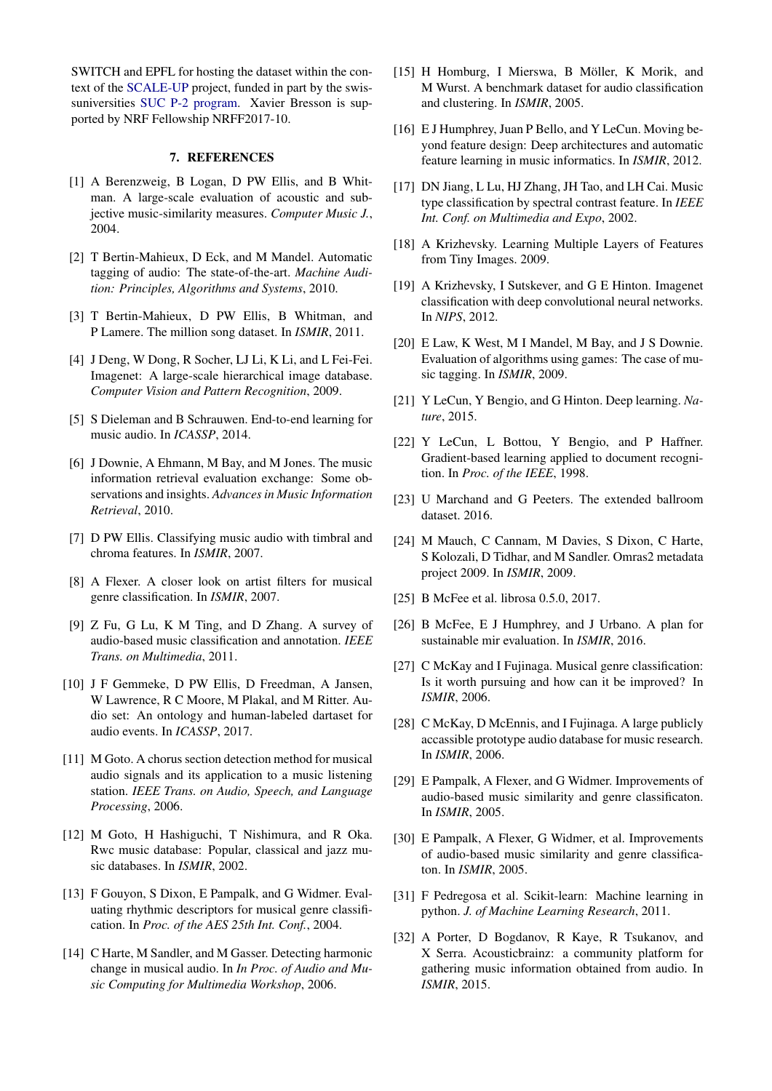SWITCH and EPFL for hosting the dataset within the context of the [SCALE-UP](https://projects.switch.ch/scale-up) project, funded in part by the swissuniversities [SUC P-2 program.](http://www.swissuniversities.ch/isci) Xavier Bresson is supported by NRF Fellowship NRFF2017-10.

### 7. REFERENCES

- <span id="page-6-11"></span>[1] A Berenzweig, B Logan, D PW Ellis, and B Whitman. A large-scale evaluation of acoustic and subjective music-similarity measures. *Computer Music J.*, 2004.
- <span id="page-6-24"></span>[2] T Bertin-Mahieux, D Eck, and M Mandel. Automatic tagging of audio: The state-of-the-art. *Machine Audition: Principles, Algorithms and Systems*, 2010.
- <span id="page-6-15"></span>[3] T Bertin-Mahieux, D PW Ellis, B Whitman, and P Lamere. The million song dataset. In *ISMIR*, 2011.
- <span id="page-6-2"></span>[4] J Deng, W Dong, R Socher, LJ Li, K Li, and L Fei-Fei. Imagenet: A large-scale hierarchical image database. *Computer Vision and Pattern Recognition*, 2009.
- <span id="page-6-30"></span>[5] S Dieleman and B Schrauwen. End-to-end learning for music audio. In *ICASSP*, 2014.
- <span id="page-6-18"></span>[6] J Downie, A Ehmann, M Bay, and M Jones. The music information retrieval evaluation exchange: Some observations and insights. *Advances in Music Information Retrieval*, 2010.
- <span id="page-6-7"></span>[7] D PW Ellis. Classifying music audio with timbral and chroma features. In *ISMIR*, 2007.
- <span id="page-6-21"></span>[8] A Flexer. A closer look on artist filters for musical genre classification. In *ISMIR*, 2007.
- <span id="page-6-23"></span>[9] Z Fu, G Lu, K M Ting, and D Zhang. A survey of audio-based music classification and annotation. *IEEE Trans. on Multimedia*, 2011.
- <span id="page-6-16"></span>[10] J F Gemmeke, D PW Ellis, D Freedman, A Jansen, W Lawrence, R C Moore, M Plakal, and M Ritter. Audio set: An ontology and human-labeled dartaset for audio events. In *ICASSP*, 2017.
- <span id="page-6-25"></span>[11] M Goto. A chorus section detection method for musical audio signals and its application to a music listening station. *IEEE Trans. on Audio, Speech, and Language Processing*, 2006.
- <span id="page-6-5"></span>[12] M Goto, H Hashiguchi, T Nishimura, and R Oka. Rwc music database: Popular, classical and jazz music databases. In *ISMIR*, 2002.
- <span id="page-6-6"></span>[13] F Gouyon, S Dixon, E Pampalk, and G Widmer. Evaluating rhythmic descriptors for musical genre classification. In *Proc. of the AES 25th Int. Conf.*, 2004.
- <span id="page-6-26"></span>[14] C Harte, M Sandler, and M Gasser. Detecting harmonic change in musical audio. In *In Proc. of Audio and Music Computing for Multimedia Workshop*, 2006.
- <span id="page-6-8"></span>[15] H Homburg, I Mierswa, B Möller, K Morik, and M Wurst. A benchmark dataset for audio classification and clustering. In *ISMIR*, 2005.
- <span id="page-6-31"></span>[16] E J Humphrey, Juan P Bello, and Y LeCun. Moving beyond feature design: Deep architectures and automatic feature learning in music informatics. In *ISMIR*, 2012.
- <span id="page-6-27"></span>[17] DN Jiang, L Lu, HJ Zhang, JH Tao, and LH Cai. Music type classification by spectral contrast feature. In *IEEE Int. Conf. on Multimedia and Expo*, 2002.
- <span id="page-6-1"></span>[18] A Krizhevsky. Learning Multiple Layers of Features from Tiny Images. 2009.
- <span id="page-6-3"></span>[19] A Krizhevsky, I Sutskever, and G E Hinton. Imagenet classification with deep convolutional neural networks. In *NIPS*, 2012.
- <span id="page-6-12"></span>[20] E Law, K West, M I Mandel, M Bay, and J S Downie. Evaluation of algorithms using games: The case of music tagging. In *ISMIR*, 2009.
- <span id="page-6-4"></span>[21] Y LeCun, Y Bengio, and G Hinton. Deep learning. *Nature*, 2015.
- <span id="page-6-0"></span>[22] Y LeCun, L Bottou, Y Bengio, and P Haffner. Gradient-based learning applied to document recognition. In *Proc. of the IEEE*, 1998.
- <span id="page-6-10"></span>[23] U Marchand and G Peeters. The extended ballroom dataset. 2016.
- <span id="page-6-14"></span>[24] M Mauch, C Cannam, M Davies, S Dixon, C Harte, S Kolozali, D Tidhar, and M Sandler. Omras2 metadata project 2009. In *ISMIR*, 2009.
- <span id="page-6-20"></span>[25] B McFee et al. librosa 0.5.0, 2017.
- <span id="page-6-19"></span>[26] B McFee, E J Humphrey, and J Urbano. A plan for sustainable mir evaluation. In *ISMIR*, 2016.
- <span id="page-6-28"></span>[27] C McKay and I Fujinaga. Musical genre classification: Is it worth pursuing and how can it be improved? In *ISMIR*, 2006.
- <span id="page-6-13"></span>[28] C McKay, D McEnnis, and I Fujinaga. A large publicly accassible prototype audio database for music research. In *ISMIR*, 2006.
- <span id="page-6-22"></span>[29] E Pampalk, A Flexer, and G Widmer. Improvements of audio-based music similarity and genre classificaton. In *ISMIR*, 2005.
- <span id="page-6-9"></span>[30] E Pampalk, A Flexer, G Widmer, et al. Improvements of audio-based music similarity and genre classificaton. In *ISMIR*, 2005.
- <span id="page-6-29"></span>[31] F Pedregosa et al. Scikit-learn: Machine learning in python. *J. of Machine Learning Research*, 2011.
- <span id="page-6-17"></span>[32] A Porter, D Bogdanov, R Kaye, R Tsukanov, and X Serra. Acousticbrainz: a community platform for gathering music information obtained from audio. In *ISMIR*, 2015.